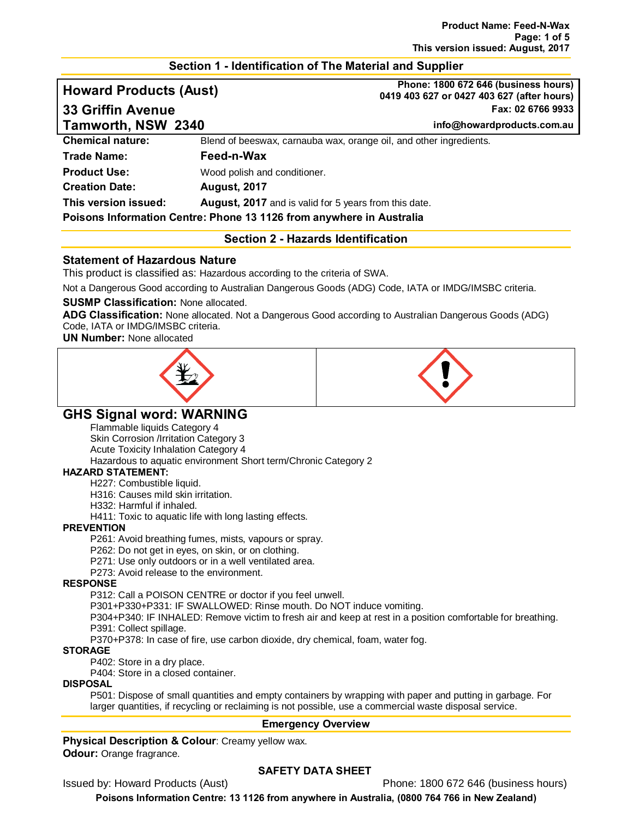# **Section 1 - Identification of The Material and Supplier**

**Howard Products (Aust) Phone: 1800 672 646 (business hours) 0419 403 627 or 0427 403 627 (after hours) 33 Griffin Avenue Fax: 02 6766 9933**

**Tamworth, NSW 2340 info@howardproducts.com.au**

**Chemical nature:** Blend of beeswax, carnauba wax, orange oil, and other ingredients.

# **Trade Name: Feed-n-Wax Product Use:** Wood polish and conditioner.

**Creation Date: August, 2017**

**This version issued: August, 2017** and is valid for 5 years from this date.

## **Poisons Information Centre: Phone 13 1126 from anywhere in Australia**

# **Section 2 - Hazards Identification**

# **Statement of Hazardous Nature**

This product is classified as: Hazardous according to the criteria of SWA.

Not a Dangerous Good according to Australian Dangerous Goods (ADG) Code, IATA or IMDG/IMSBC criteria.

# **SUSMP Classification:** None allocated.

**ADG Classification:** None allocated. Not a Dangerous Good according to Australian Dangerous Goods (ADG) Code, IATA or IMDG/IMSBC criteria.

**UN Number:** None allocated





# **GHS Signal word: WARNING**

Flammable liquids Category 4 Skin Corrosion /Irritation Category 3 Acute Toxicity Inhalation Category 4 Hazardous to aquatic environment Short term/Chronic Category 2

# **HAZARD STATEMENT:**

H227: Combustible liquid.

H316: Causes mild skin irritation.

H332: Harmful if inhaled.

H411: Toxic to aquatic life with long lasting effects.

#### **PREVENTION**

P261: Avoid breathing fumes, mists, vapours or spray.

P262: Do not get in eyes, on skin, or on clothing.

P271: Use only outdoors or in a well ventilated area.

P273: Avoid release to the environment.

#### **RESPONSE**

P312: Call a POISON CENTRE or doctor if you feel unwell.

P301+P330+P331: IF SWALLOWED: Rinse mouth. Do NOT induce vomiting.

P304+P340: IF INHALED: Remove victim to fresh air and keep at rest in a position comfortable for breathing. P391: Collect spillage.

P370+P378: In case of fire, use carbon dioxide, dry chemical, foam, water fog.

## **STORAGE**

P402: Store in a dry place.

P404: Store in a closed container.

#### **DISPOSAL**

P501: Dispose of small quantities and empty containers by wrapping with paper and putting in garbage. For larger quantities, if recycling or reclaiming is not possible, use a commercial waste disposal service.

# **Emergency Overview**

**Physical Description & Colour: Creamy yellow wax. Odour:** Orange fragrance.

# **SAFETY DATA SHEET**

Issued by: Howard Products (Aust) Phone: 1800 672 646 (business hours)

**Poisons Information Centre: 13 1126 from anywhere in Australia, (0800 764 766 in New Zealand)**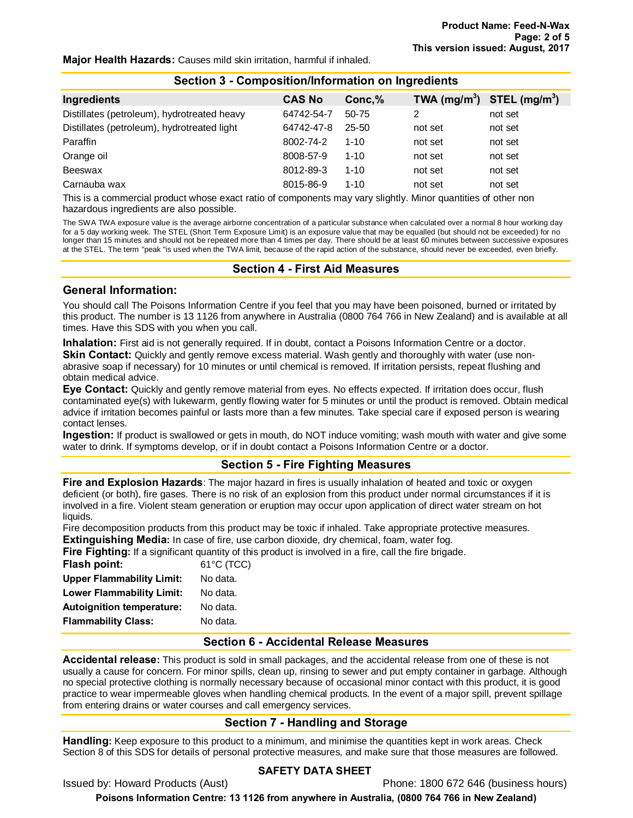#### **Major Health Hazards:** Causes mild skin irritation, harmful if inhaled.

| Section 3 - Composition/Information on Ingredients |               |           |                |                 |  |  |
|----------------------------------------------------|---------------|-----------|----------------|-----------------|--|--|
| Ingredients                                        | <b>CAS No</b> | Conc,%    | TWA $(mg/m^3)$ | STEL $(mq/m^3)$ |  |  |
| Distillates (petroleum), hydrotreated heavy        | 64742-54-7    | $50 - 75$ | 2              | not set         |  |  |
| Distillates (petroleum), hydrotreated light        | 64742-47-8    | $25 - 50$ | not set        | not set         |  |  |
| Paraffin                                           | 8002-74-2     | $1 - 10$  | not set        | not set         |  |  |
| Orange oil                                         | 8008-57-9     | $1 - 10$  | not set        | not set         |  |  |
| Beeswax                                            | 8012-89-3     | $1 - 10$  | not set        | not set         |  |  |
| Carnauba wax                                       | 8015-86-9     | $1 - 10$  | not set        | not set         |  |  |

This is a commercial product whose exact ratio of components may vary slightly. Minor quantities of other non hazardous ingredients are also possible.

The SWA TWA exposure value is the average airborne concentration of a particular substance when calculated over a normal 8 hour working day for a 5 day working week. The STEL (Short Term Exposure Limit) is an exposure value that may be equalled (but should not be exceeded) for no longer than 15 minutes and should not be repeated more than 4 times per day. There should be at least 60 minutes between successive exposures at the STEL. The term "peak "is used when the TWA limit, because of the rapid action of the substance, should never be exceeded, even briefly.

#### **Section 4 - First Aid Measures**

## **General Information:**

You should call The Poisons Information Centre if you feel that you may have been poisoned, burned or irritated by this product. The number is 13 1126 from anywhere in Australia (0800 764 766 in New Zealand) and is available at all times. Have this SDS with you when you call.

**Inhalation:** First aid is not generally required. If in doubt, contact a Poisons Information Centre or a doctor.

**Skin Contact:** Quickly and gently remove excess material. Wash gently and thoroughly with water (use nonabrasive soap if necessary) for 10 minutes or until chemical is removed. If irritation persists, repeat flushing and obtain medical advice.

**Eye Contact:** Quickly and gently remove material from eyes. No effects expected. If irritation does occur, flush contaminated eye(s) with lukewarm, gently flowing water for 5 minutes or until the product is removed. Obtain medical advice if irritation becomes painful or lasts more than a few minutes. Take special care if exposed person is wearing contact lenses.

**Ingestion:** If product is swallowed or gets in mouth, do NOT induce vomiting; wash mouth with water and give some water to drink. If symptoms develop, or if in doubt contact a Poisons Information Centre or a doctor.

# **Section 5 - Fire Fighting Measures**

**Fire and Explosion Hazards**: The major hazard in fires is usually inhalation of heated and toxic or oxygen deficient (or both), fire gases. There is no risk of an explosion from this product under normal circumstances if it is involved in a fire. Violent steam generation or eruption may occur upon application of direct water stream on hot liquids.

Fire decomposition products from this product may be toxic if inhaled. Take appropriate protective measures. **Extinguishing Media:** In case of fire, use carbon dioxide, dry chemical, foam, water fog.

**Fire Fighting:** If a significant quantity of this product is involved in a fire, call the fire brigade.

| Flash point:                     | $61^{\circ}$ C (TCC) |
|----------------------------------|----------------------|
| <b>Upper Flammability Limit:</b> | No data.             |
| <b>Lower Flammability Limit:</b> | No data.             |
| <b>Autoignition temperature:</b> | No data.             |
| <b>Flammability Class:</b>       | No data.             |

# **Section 6 - Accidental Release Measures**

**Accidental release:** This product is sold in small packages, and the accidental release from one of these is not usually a cause for concern. For minor spills, clean up, rinsing to sewer and put empty container in garbage. Although no special protective clothing is normally necessary because of occasional minor contact with this product, it is good practice to wear impermeable gloves when handling chemical products. In the event of a major spill, prevent spillage from entering drains or water courses and call emergency services.

# **Section 7 - Handling and Storage**

**Handling:** Keep exposure to this product to a minimum, and minimise the quantities kept in work areas. Check Section 8 of this SDS for details of personal protective measures, and make sure that those measures are followed.

#### **SAFETY DATA SHEET**

Issued by: Howard Products (Aust) Phone: 1800 672 646 (business hours)

**Poisons Information Centre: 13 1126 from anywhere in Australia, (0800 764 766 in New Zealand)**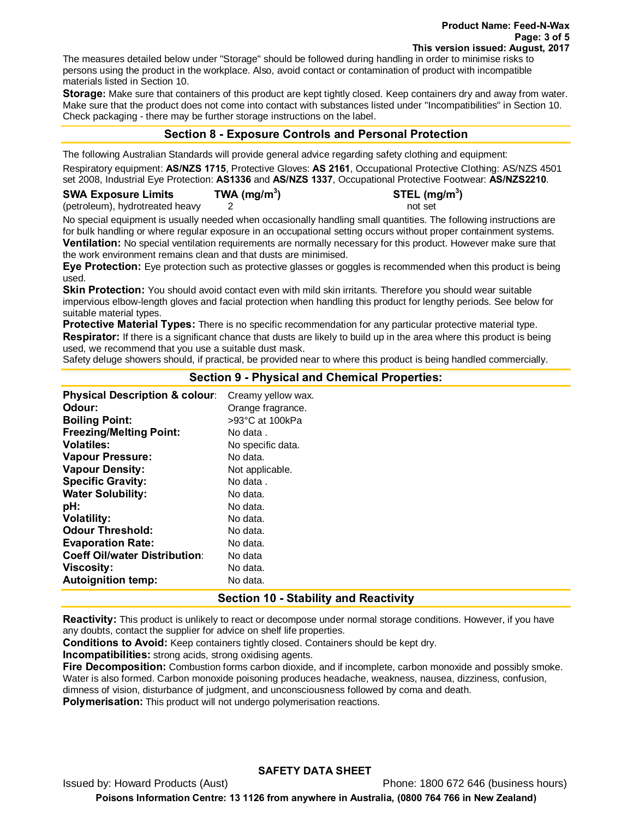The measures detailed below under "Storage" should be followed during handling in order to minimise risks to persons using the product in the workplace. Also, avoid contact or contamination of product with incompatible materials listed in Section 10.

**Storage:** Make sure that containers of this product are kept tightly closed. Keep containers dry and away from water. Make sure that the product does not come into contact with substances listed under "Incompatibilities" in Section 10. Check packaging - there may be further storage instructions on the label.

# **Section 8 - Exposure Controls and Personal Protection**

The following Australian Standards will provide general advice regarding safety clothing and equipment: Respiratory equipment: **AS/NZS 1715**, Protective Gloves: **AS 2161**, Occupational Protective Clothing: AS/NZS 4501 set 2008, Industrial Eye Protection: **AS1336** and **AS/NZS 1337**, Occupational Protective Footwear: **AS/NZS2210**.

**) STEL (mg/m3 )**

#### **SWA Exposure Limits TWA (mg/m3**

(petroleum), hydrotreated heavy 2 not set

No special equipment is usually needed when occasionally handling small quantities. The following instructions are for bulk handling or where regular exposure in an occupational setting occurs without proper containment systems. **Ventilation:** No special ventilation requirements are normally necessary for this product. However make sure that the work environment remains clean and that dusts are minimised.

**Eye Protection:** Eye protection such as protective glasses or goggles is recommended when this product is being used.

**Skin Protection:** You should avoid contact even with mild skin irritants. Therefore you should wear suitable impervious elbow-length gloves and facial protection when handling this product for lengthy periods. See below for suitable material types.

**Protective Material Types:** There is no specific recommendation for any particular protective material type. **Respirator:** If there is a significant chance that dusts are likely to build up in the area where this product is being used, we recommend that you use a suitable dust mask.

Safety deluge showers should, if practical, be provided near to where this product is being handled commercially.

# **Section 9 - Physical and Chemical Properties:**

**Physical Description & colour:** Creamy yellow wax. **Odour: Orange fragrance. Boiling Point:** >93°C at 100kPa **Freezing/Melting Point:** No data . **Volatiles:** No specific data. **Vapour Pressure:** No data. **Vapour Density:** Not applicable. **Specific Gravity:** No data . **Water Solubility:** No data. **pH:** No data. **Volatility:** No data. **Odour Threshold:** No data. **Evaporation Rate:** No data. **Coeff Oil/water Distribution**: No data **Viscosity:** No data. **Autoignition temp:** No data.

# **Section 10 - Stability and Reactivity**

**Reactivity:** This product is unlikely to react or decompose under normal storage conditions. However, if you have any doubts, contact the supplier for advice on shelf life properties.

**Conditions to Avoid:** Keep containers tightly closed. Containers should be kept dry.

**Incompatibilities:** strong acids, strong oxidising agents.

**Fire Decomposition:** Combustion forms carbon dioxide, and if incomplete, carbon monoxide and possibly smoke. Water is also formed. Carbon monoxide poisoning produces headache, weakness, nausea, dizziness, confusion, dimness of vision, disturbance of judgment, and unconsciousness followed by coma and death.

**Polymerisation:** This product will not undergo polymerisation reactions.

# **SAFETY DATA SHEET**

Issued by: Howard Products (Aust) Phone: 1800 672 646 (business hours) **Poisons Information Centre: 13 1126 from anywhere in Australia, (0800 764 766 in New Zealand)**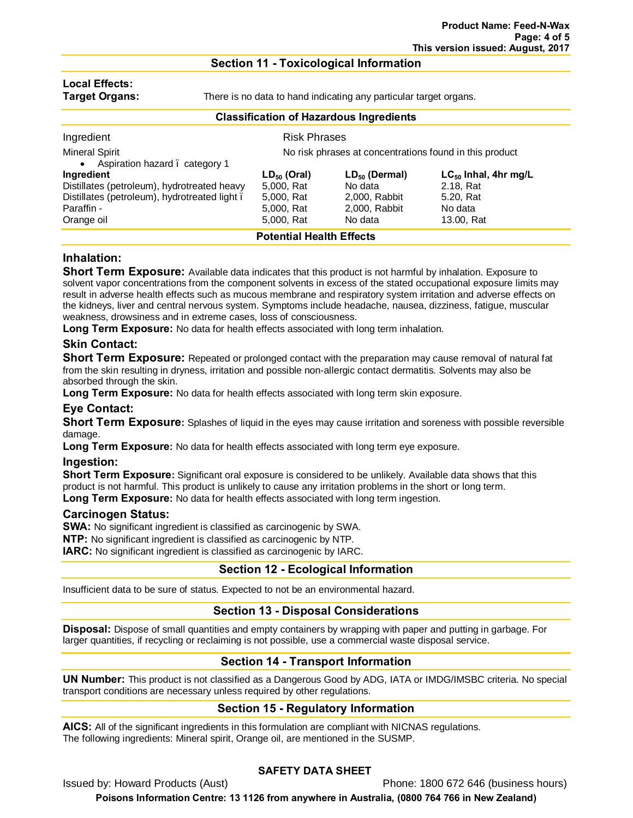#### **Section 11 - Toxicological Information**

# **Local Effects:**

**Target Organs:** There is no data to hand indicating any particular target organs.

| <b>Classification of Hazardous Ingredients</b> |                                                         |                    |                           |  |  |
|------------------------------------------------|---------------------------------------------------------|--------------------|---------------------------|--|--|
| Ingredient                                     | <b>Risk Phrases</b>                                     |                    |                           |  |  |
| <b>Mineral Spirit</b>                          | No risk phrases at concentrations found in this product |                    |                           |  |  |
| Aspiration hazard . category 1<br>$\bullet$    |                                                         |                    |                           |  |  |
| Ingredient                                     | $LD_{50}$ (Oral)                                        | $LD_{50}$ (Dermal) | $LC_{50}$ Inhal, 4hr mg/L |  |  |
| Distillates (petroleum), hydrotreated heavy    | 5,000, Rat                                              | No data            | 2.18, Rat                 |  |  |
| Distillates (petroleum), hydrotreated light.   | 5,000, Rat                                              | 2,000, Rabbit      | 5.20, Rat                 |  |  |
| Paraffin -                                     | 5,000, Rat                                              | 2,000, Rabbit      | No data                   |  |  |
| Orange oil                                     | 5,000, Rat                                              | No data            | 13.00, Rat                |  |  |
| <b>Potential Health Effects</b>                |                                                         |                    |                           |  |  |

# **Inhalation:**

**Short Term Exposure:** Available data indicates that this product is not harmful by inhalation. Exposure to solvent vapor concentrations from the component solvents in excess of the stated occupational exposure limits may result in adverse health effects such as mucous membrane and respiratory system irritation and adverse effects on the kidneys, liver and central nervous system. Symptoms include headache, nausea, dizziness, fatigue, muscular weakness, drowsiness and in extreme cases, loss of consciousness.

**Long Term Exposure:** No data for health effects associated with long term inhalation.

# **Skin Contact:**

**Short Term Exposure:** Repeated or prolonged contact with the preparation may cause removal of natural fat from the skin resulting in dryness, irritation and possible non-allergic contact dermatitis. Solvents may also be absorbed through the skin.

**Long Term Exposure:** No data for health effects associated with long term skin exposure.

# **Eye Contact:**

**Short Term Exposure:** Splashes of liquid in the eyes may cause irritation and soreness with possible reversible damage.

**Long Term Exposure:** No data for health effects associated with long term eye exposure.

#### **Ingestion:**

**Short Term Exposure:** Significant oral exposure is considered to be unlikely. Available data shows that this product is not harmful. This product is unlikely to cause any irritation problems in the short or long term. **Long Term Exposure:** No data for health effects associated with long term ingestion.

#### **Carcinogen Status:**

**SWA:** No significant ingredient is classified as carcinogenic by SWA.

**NTP:** No significant ingredient is classified as carcinogenic by NTP.

**IARC:** No significant ingredient is classified as carcinogenic by IARC.

# **Section 12 - Ecological Information**

Insufficient data to be sure of status. Expected to not be an environmental hazard.

# **Section 13 - Disposal Considerations**

**Disposal:** Dispose of small quantities and empty containers by wrapping with paper and putting in garbage. For larger quantities, if recycling or reclaiming is not possible, use a commercial waste disposal service.

# **Section 14 - Transport Information**

**UN Number:** This product is not classified as a Dangerous Good by ADG, IATA or IMDG/IMSBC criteria. No special transport conditions are necessary unless required by other regulations.

# **Section 15 - Regulatory Information**

**AICS:** All of the significant ingredients in this formulation are compliant with NICNAS regulations. The following ingredients: Mineral spirit, Orange oil, are mentioned in the SUSMP.

# **SAFETY DATA SHEET**

Issued by: Howard Products (Aust) Phone: 1800 672 646 (business hours)

**Poisons Information Centre: 13 1126 from anywhere in Australia, (0800 764 766 in New Zealand)**